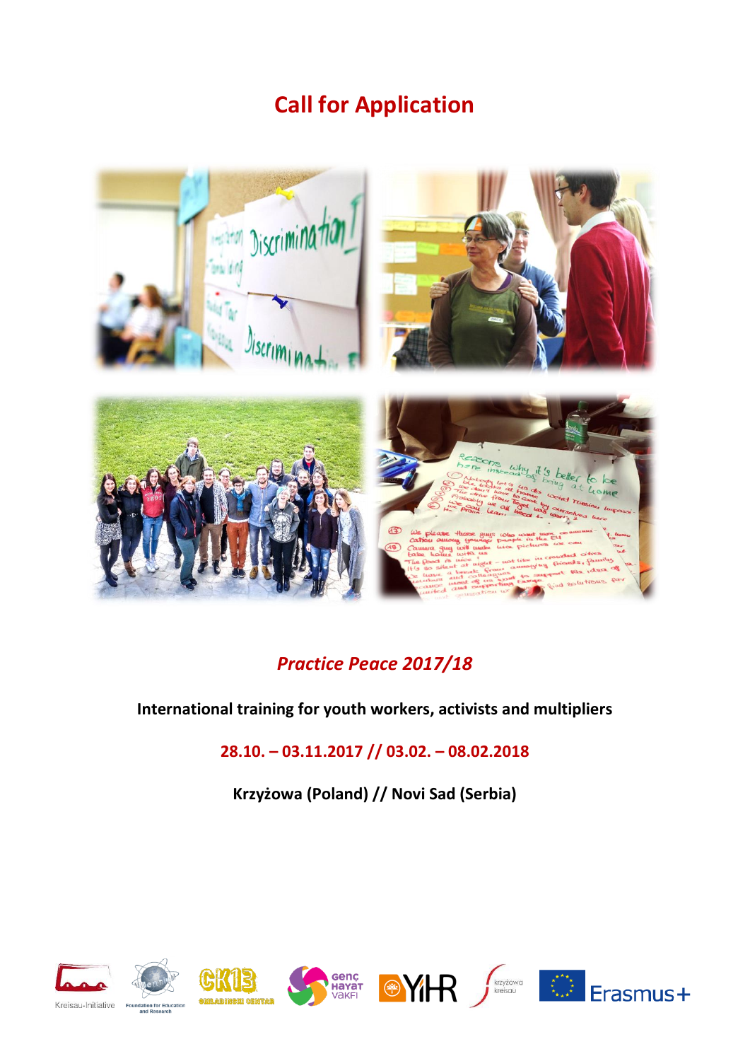# **Call for Application**



## *Practice Peace 2017/18*

#### **International training for youth workers, activists and multipliers**

### **28.10. – 03.11.2017 // 03.02. – 08.02.2018**

**Krzyżowa (Poland) // Novi Sad (Serbia)**